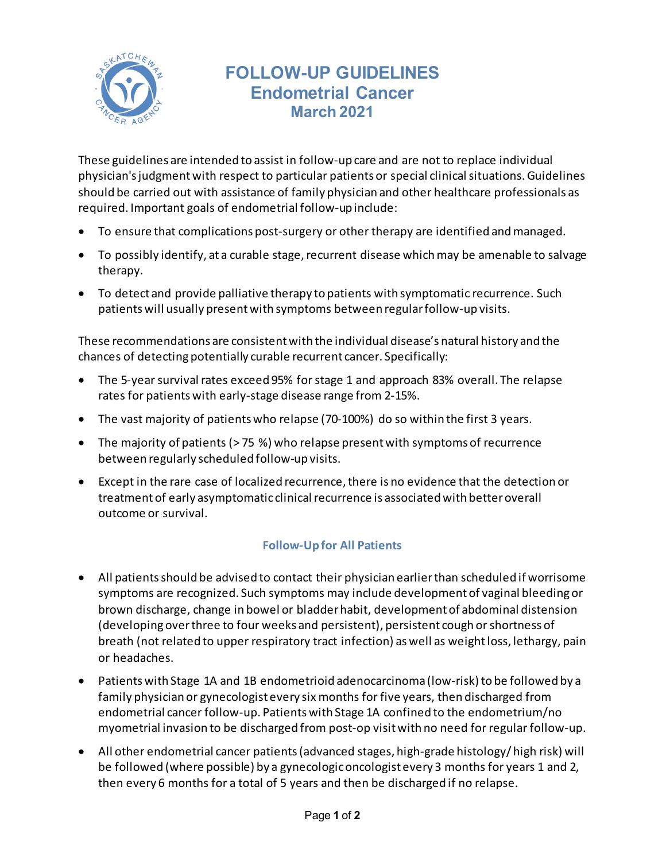

## **FOLLOW-UP GUIDELINES Endometrial Cancer March 2021**

These guidelines are intended to assist in follow-up care and are not to replace individual physician's judgment with respect to particular patients or special clinical situations. Guidelines should be carried out with assistance of family physician and other healthcare professionals as required. Important goals of endometrial follow-up include:

- To ensure that complications post-surgery or other therapy are identified and managed.
- To possibly identify, at a curable stage, recurrent disease which may be amenable to salvage therapy.
- To detect and provide palliative therapy to patients with symptomatic recurrence. Such patients will usually present with symptoms between regular follow-up visits.

These recommendations are consistent with the individual disease's natural history and the chances of detecting potentially curable recurrent cancer. Specifically:

- The 5-year survival rates exceed 95% for stage 1 and approach 83% overall. The relapse rates for patients with early-stage disease range from 2-15%.
- The vast majority of patients who relapse (70-100%) do so within the first 3 years.
- The majority of patients (> 75 %) who relapse present with symptoms of recurrence between regularly scheduled follow-up visits.
- Except in the rare case of localized recurrence, there is no evidence that the detection or treatment of early asymptomatic clinical recurrence is associated with better overall outcome or survival.

## **Follow-Up for All Patients**

- All patients should be advised to contact their physician earlier than scheduled if worrisome symptoms are recognized. Such symptoms may include development of vaginal bleeding or brown discharge, change in bowel or bladder habit, development of abdominal distension (developing over three to four weeks and persistent), persistent cough or shortness of breath (not related to upper respiratory tract infection) as well as weight loss, lethargy, pain or headaches.
- Patientswith Stage 1A and 1B endometrioid adenocarcinoma (low-risk) to be followed by a family physician or gynecologist every six months for five years, then discharged from endometrial cancer follow-up. Patients with Stage 1A confined to the endometrium/no myometrial invasion to be discharged from post-op visit with no need for regular follow-up.
- All other endometrial cancer patients (advanced stages, high-grade histology/ high risk) will be followed (where possible) by a gynecologic oncologist every 3 months for years 1 and 2, then every 6 months for a total of 5 years and then be discharged if no relapse.